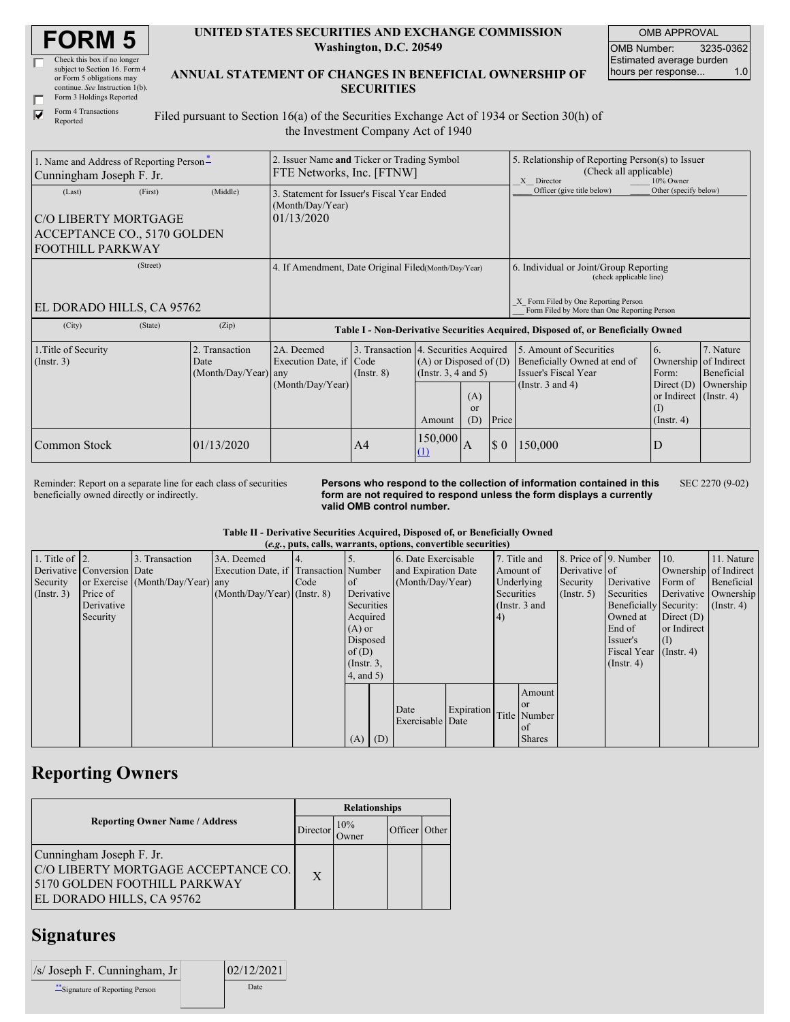| <b>FORM 5</b> |
|---------------|
|---------------|

| Check this box if no longer     |
|---------------------------------|
| subject to Section 16. Form 4   |
| or Form 5 obligations may       |
| continue. See Instruction 1(b). |
| Form 3 Holdings Reported        |
|                                 |

Form 4 Transactions Reported

 $\overline{\mathbf{v}}$ 

#### **UNITED STATES SECURITIES AND EXCHANGE COMMISSION Washington, D.C. 20549**

OMB APPROVAL OMB Number: 3235-0362 Estimated average burden<br>hours per response... 1.0 hours per response...

| ANNUAL STATEMENT OF CHANGES IN BENEFICIAL OWNERSHIP OF |
|--------------------------------------------------------|
| <b>SECURITIES</b>                                      |

Filed pursuant to Section 16(a) of the Securities Exchange Act of 1934 or Section 30(h) of the Investment Company Act of 1940

| 1. Name and Address of Reporting Person-<br>Cunningham Joseph F. Jr.                                | 2. Issuer Name and Ticker or Trading Symbol<br>FTE Networks, Inc. [FTNW]         |                                                                               |                 |                                                                                                                                     |   | 5. Relationship of Reporting Person(s) to Issuer<br>(Check all applicable)<br>10% Owner<br>X Director |                                                                                                          |                                                                                                                 |                                      |  |
|-----------------------------------------------------------------------------------------------------|----------------------------------------------------------------------------------|-------------------------------------------------------------------------------|-----------------|-------------------------------------------------------------------------------------------------------------------------------------|---|-------------------------------------------------------------------------------------------------------|----------------------------------------------------------------------------------------------------------|-----------------------------------------------------------------------------------------------------------------|--------------------------------------|--|
| (First)<br>(Last)<br>C/O LIBERTY MORTGAGE<br>ACCEPTANCE CO., 5170 GOLDEN<br><b>FOOTHILL PARKWAY</b> | (Middle)                                                                         | 3. Statement for Issuer's Fiscal Year Ended<br>(Month/Day/Year)<br>01/13/2020 |                 |                                                                                                                                     |   | Officer (give title below)                                                                            | Other (specify below)                                                                                    |                                                                                                                 |                                      |  |
| (Street)                                                                                            | 4. If Amendment, Date Original Filed (Month/Day/Year)                            |                                                                               |                 |                                                                                                                                     |   | 6. Individual or Joint/Group Reporting<br>(check applicable line)                                     |                                                                                                          |                                                                                                                 |                                      |  |
| EL DORADO HILLS, CA 95762                                                                           |                                                                                  |                                                                               |                 |                                                                                                                                     |   |                                                                                                       | X Form Filed by One Reporting Person<br>Form Filed by More than One Reporting Person                     |                                                                                                                 |                                      |  |
| (City)<br>(State)                                                                                   | Table I - Non-Derivative Securities Acquired, Disposed of, or Beneficially Owned |                                                                               |                 |                                                                                                                                     |   |                                                                                                       |                                                                                                          |                                                                                                                 |                                      |  |
| 1. Title of Security<br>$($ Instr. 3 $)$                                                            | 2. Transaction<br>Date<br>(Month/Day/Year) any                                   | 2A. Deemed<br>Execution Date, if Code<br>(Month/Day/Year)                     | $($ Instr. $8)$ | 3. Transaction 4. Securities Acquired<br>$(A)$ or Disposed of $(D)$<br>(Instr. 3, 4 and 5)<br>(A)<br><sub>or</sub><br>(D)<br>Amount |   | Price                                                                                                 | 5. Amount of Securities<br>Beneficially Owned at end of<br>Issuer's Fiscal Year<br>(Instr. $3$ and $4$ ) | 6.<br>Ownership of Indirect<br>Form:<br>Direct $(D)$<br>or Indirect $($ Instr. 4 $)$<br>(I)<br>$($ Instr. 4 $)$ | 7. Nature<br>Beneficial<br>Ownership |  |
| Common Stock                                                                                        | 01/13/2020                                                                       |                                                                               | A <sup>4</sup>  | 150,000<br>(1)                                                                                                                      | A | $\boldsymbol{\mathsf{S}}$ 0                                                                           | 150,000                                                                                                  | D                                                                                                               |                                      |  |

Reminder: Report on a separate line for each class of securities beneficially owned directly or indirectly.

**Persons who respond to the collection of information contained in this form are not required to respond unless the form displays a currently valid OMB control number.** SEC 2270 (9-02)

#### **Table II - Derivative Securities Acquired, Disposed of, or Beneficially Owned**

|                    |                            |                                  |                                       |      |                  | (e.g., puts, calls, warrants, options, convertible securities) |            |            |                 |                       |                        |                       |                      |
|--------------------|----------------------------|----------------------------------|---------------------------------------|------|------------------|----------------------------------------------------------------|------------|------------|-----------------|-----------------------|------------------------|-----------------------|----------------------|
| 1. Title of $ 2$ . |                            | 3. Transaction                   | 3A. Deemed                            |      |                  | 6. Date Exercisable                                            |            |            | 7. Title and    | 8. Price of 9. Number |                        | 10.                   | 11. Nature           |
|                    | Derivative Conversion Date |                                  | Execution Date, if Transaction Number |      |                  | and Expiration Date                                            |            |            | Amount of       | Derivative of         |                        | Ownership of Indirect |                      |
| Security           |                            | or Exercise (Month/Day/Year) any |                                       | Code | <b>l</b> of      | (Month/Day/Year)                                               |            |            | Underlying      | Security              | Derivative             | Form of               | Beneficial           |
| (Insert. 3)        | Price of                   |                                  | $(Month/Day/Year)$ (Instr. 8)         |      | Derivative       |                                                                |            | Securities |                 | (Insert. 5)           | Securities             |                       | Derivative Ownership |
|                    | Derivative                 |                                  |                                       |      | Securities       |                                                                |            |            | (Instr. $3$ and |                       | Beneficially Security: |                       | $($ Instr. 4)        |
|                    | Security                   |                                  |                                       |      | Acquired         |                                                                |            | 4)         |                 |                       | Owned at               | Direct $(D)$          |                      |
|                    |                            |                                  |                                       |      | $(A)$ or         |                                                                |            |            |                 |                       | End of                 | or Indirect           |                      |
|                    |                            |                                  |                                       |      | Disposed         |                                                                |            |            |                 |                       | Issuer's               |                       |                      |
|                    |                            |                                  |                                       |      | of $(D)$         |                                                                |            |            |                 |                       | <b>Fiscal Year</b>     | $($ Instr. 4 $)$      |                      |
|                    |                            |                                  |                                       |      | $($ Instr. $3$ , |                                                                |            |            |                 |                       | $($ Instr. 4 $)$       |                       |                      |
|                    |                            |                                  |                                       |      | $4$ , and $5$ )  |                                                                |            |            |                 |                       |                        |                       |                      |
|                    |                            |                                  |                                       |      |                  |                                                                |            |            | Amount          |                       |                        |                       |                      |
|                    |                            |                                  |                                       |      |                  |                                                                |            |            | <sub>or</sub>   |                       |                        |                       |                      |
|                    |                            |                                  |                                       |      |                  | Date                                                           | Expiration |            | Title Number    |                       |                        |                       |                      |
|                    |                            |                                  |                                       |      |                  | Exercisable Date                                               |            |            | of              |                       |                        |                       |                      |
|                    |                            |                                  |                                       |      | $(A)$ $(D)$      |                                                                |            |            | <b>Shares</b>   |                       |                        |                       |                      |

### **Reporting Owners**

|                                                                                                                              |              | <b>Relationships</b> |               |  |  |  |  |
|------------------------------------------------------------------------------------------------------------------------------|--------------|----------------------|---------------|--|--|--|--|
| <b>Reporting Owner Name / Address</b>                                                                                        | Director     | 10%<br><b>Dwner</b>  | Officer Other |  |  |  |  |
| Cunningham Joseph F. Jr.<br>C/O LIBERTY MORTGAGE ACCEPTANCE CO.<br>5170 GOLDEN FOOTHILL PARKWAY<br>EL DORADO HILLS, CA 95762 | $\mathbf{X}$ |                      |               |  |  |  |  |

## **Signatures**

| $ $ /s/ Joseph F. Cunningham, Jr $ $ | 02/12/2021 |
|--------------------------------------|------------|
| ** Signature of Reporting Person     | Date       |